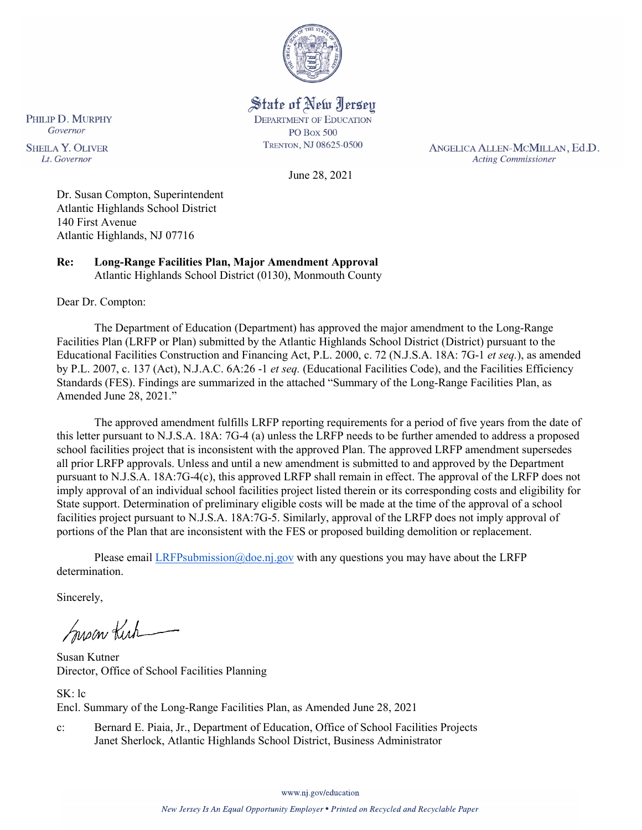

State of New Jersey **DEPARTMENT OF EDUCATION PO Box 500** TRENTON, NJ 08625-0500

ANGELICA ALLEN-MCMILLAN, Ed.D. **Acting Commissioner** 

June 28, 2021

Dr. Susan Compton, Superintendent Atlantic Highlands School District 140 First Avenue Atlantic Highlands, NJ 07716

**Re: Long-Range Facilities Plan, Major Amendment Approval**  Atlantic Highlands School District (0130), Monmouth County

Dear Dr. Compton:

PHILIP D. MURPHY Governor

**SHEILA Y. OLIVER** 

Lt. Governor

The Department of Education (Department) has approved the major amendment to the Long-Range Facilities Plan (LRFP or Plan) submitted by the Atlantic Highlands School District (District) pursuant to the Educational Facilities Construction and Financing Act, P.L. 2000, c. 72 (N.J.S.A. 18A: 7G-1 *et seq.*), as amended by P.L. 2007, c. 137 (Act), N.J.A.C. 6A:26 -1 *et seq.* (Educational Facilities Code), and the Facilities Efficiency Standards (FES). Findings are summarized in the attached "Summary of the Long-Range Facilities Plan, as Amended June 28, 2021."

The approved amendment fulfills LRFP reporting requirements for a period of five years from the date of this letter pursuant to N.J.S.A. 18A: 7G-4 (a) unless the LRFP needs to be further amended to address a proposed school facilities project that is inconsistent with the approved Plan. The approved LRFP amendment supersedes all prior LRFP approvals. Unless and until a new amendment is submitted to and approved by the Department pursuant to N.J.S.A. 18A:7G-4(c), this approved LRFP shall remain in effect. The approval of the LRFP does not imply approval of an individual school facilities project listed therein or its corresponding costs and eligibility for State support. Determination of preliminary eligible costs will be made at the time of the approval of a school facilities project pursuant to N.J.S.A. 18A:7G-5. Similarly, approval of the LRFP does not imply approval of portions of the Plan that are inconsistent with the FES or proposed building demolition or replacement.

Please email [LRFPsubmission@doe.nj.gov](mailto:LRFPsubmission@doe.nj.gov) with any questions you may have about the LRFP determination.

Sincerely,

Susan Kich

Susan Kutner Director, Office of School Facilities Planning

SK: lc Encl. Summary of the Long-Range Facilities Plan, as Amended June 28, 2021

c: Bernard E. Piaia, Jr., Department of Education, Office of School Facilities Projects Janet Sherlock, Atlantic Highlands School District, Business Administrator

www.nj.gov/education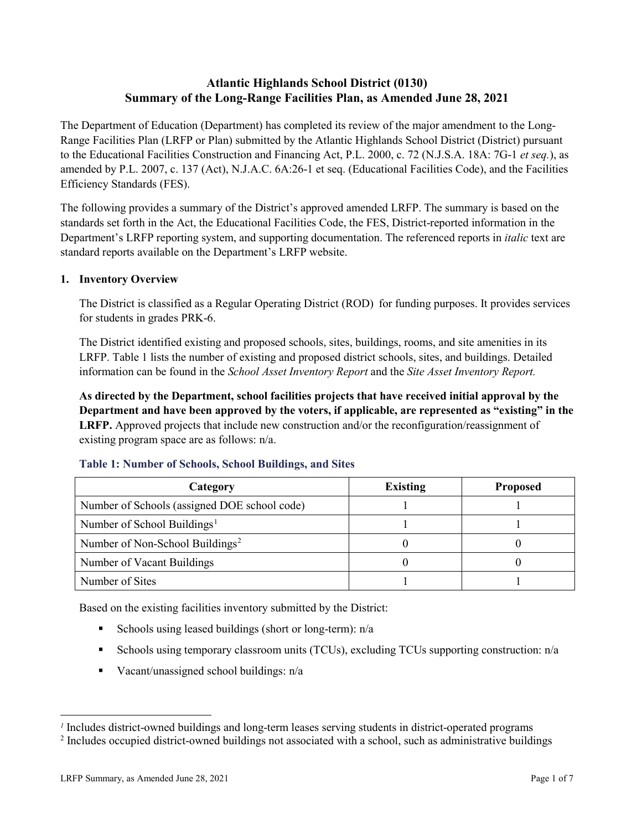# **Atlantic Highlands School District (0130) Summary of the Long-Range Facilities Plan, as Amended June 28, 2021**

The Department of Education (Department) has completed its review of the major amendment to the Long-Range Facilities Plan (LRFP or Plan) submitted by the Atlantic Highlands School District (District) pursuant to the Educational Facilities Construction and Financing Act, P.L. 2000, c. 72 (N.J.S.A. 18A: 7G-1 *et seq.*), as amended by P.L. 2007, c. 137 (Act), N.J.A.C. 6A:26-1 et seq. (Educational Facilities Code), and the Facilities Efficiency Standards (FES).

The following provides a summary of the District's approved amended LRFP. The summary is based on the standards set forth in the Act, the Educational Facilities Code, the FES, District-reported information in the Department's LRFP reporting system, and supporting documentation. The referenced reports in *italic* text are standard reports available on the Department's LRFP website.

#### **1. Inventory Overview**

The District is classified as a Regular Operating District (ROD) for funding purposes. It provides services for students in grades PRK-6.

The District identified existing and proposed schools, sites, buildings, rooms, and site amenities in its LRFP. Table 1 lists the number of existing and proposed district schools, sites, and buildings. Detailed information can be found in the *School Asset Inventory Report* and the *Site Asset Inventory Report.*

**As directed by the Department, school facilities projects that have received initial approval by the Department and have been approved by the voters, if applicable, are represented as "existing" in the LRFP.** Approved projects that include new construction and/or the reconfiguration/reassignment of existing program space are as follows: n/a.

| Category                                     | <b>Existing</b> | <b>Proposed</b> |
|----------------------------------------------|-----------------|-----------------|
| Number of Schools (assigned DOE school code) |                 |                 |
| Number of School Buildings <sup>1</sup>      |                 |                 |
| Number of Non-School Buildings <sup>2</sup>  |                 |                 |
| Number of Vacant Buildings                   |                 |                 |
| Number of Sites                              |                 |                 |

#### **Table 1: Number of Schools, School Buildings, and Sites**

Based on the existing facilities inventory submitted by the District:

- Schools using leased buildings (short or long-term):  $n/a$
- Schools using temporary classroom units (TCUs), excluding TCUs supporting construction: n/a
- Vacant/unassigned school buildings:  $n/a$

 $\overline{a}$ 

<span id="page-1-1"></span><span id="page-1-0"></span>*<sup>1</sup>* Includes district-owned buildings and long-term leases serving students in district-operated programs

<sup>&</sup>lt;sup>2</sup> Includes occupied district-owned buildings not associated with a school, such as administrative buildings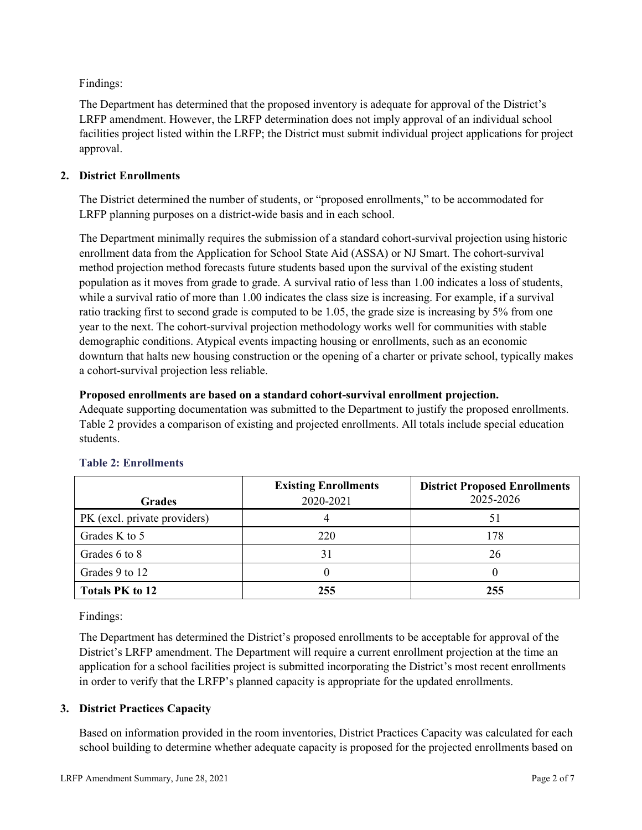Findings:

The Department has determined that the proposed inventory is adequate for approval of the District's LRFP amendment. However, the LRFP determination does not imply approval of an individual school facilities project listed within the LRFP; the District must submit individual project applications for project approval.

# **2. District Enrollments**

The District determined the number of students, or "proposed enrollments," to be accommodated for LRFP planning purposes on a district-wide basis and in each school.

The Department minimally requires the submission of a standard cohort-survival projection using historic enrollment data from the Application for School State Aid (ASSA) or NJ Smart. The cohort-survival method projection method forecasts future students based upon the survival of the existing student population as it moves from grade to grade. A survival ratio of less than 1.00 indicates a loss of students, while a survival ratio of more than 1.00 indicates the class size is increasing. For example, if a survival ratio tracking first to second grade is computed to be 1.05, the grade size is increasing by 5% from one year to the next. The cohort-survival projection methodology works well for communities with stable demographic conditions. Atypical events impacting housing or enrollments, such as an economic downturn that halts new housing construction or the opening of a charter or private school, typically makes a cohort-survival projection less reliable.

#### **Proposed enrollments are based on a standard cohort-survival enrollment projection.**

Adequate supporting documentation was submitted to the Department to justify the proposed enrollments. Table 2 provides a comparison of existing and projected enrollments. All totals include special education students.

|                              | <b>Existing Enrollments</b> | <b>District Proposed Enrollments</b> |
|------------------------------|-----------------------------|--------------------------------------|
| <b>Grades</b>                | 2020-2021                   | 2025-2026                            |
| PK (excl. private providers) |                             | 51                                   |
| Grades K to 5                | 220                         | 178                                  |
| Grades 6 to 8                | 31                          | 26                                   |
| Grades 9 to 12               |                             |                                      |
| <b>Totals PK to 12</b>       | 255                         | 255                                  |

# **Table 2: Enrollments**

Findings:

The Department has determined the District's proposed enrollments to be acceptable for approval of the District's LRFP amendment. The Department will require a current enrollment projection at the time an application for a school facilities project is submitted incorporating the District's most recent enrollments in order to verify that the LRFP's planned capacity is appropriate for the updated enrollments.

# **3. District Practices Capacity**

Based on information provided in the room inventories, District Practices Capacity was calculated for each school building to determine whether adequate capacity is proposed for the projected enrollments based on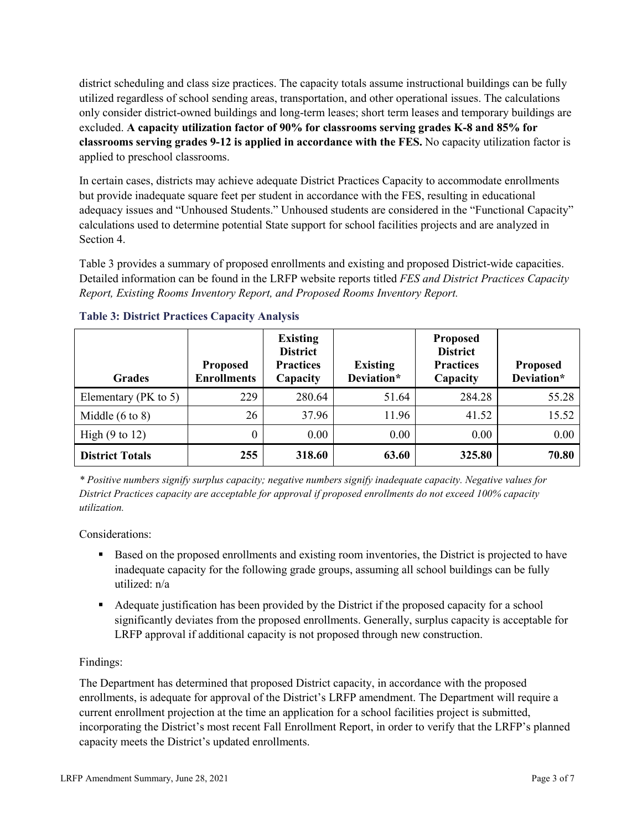district scheduling and class size practices. The capacity totals assume instructional buildings can be fully utilized regardless of school sending areas, transportation, and other operational issues. The calculations only consider district-owned buildings and long-term leases; short term leases and temporary buildings are excluded. **A capacity utilization factor of 90% for classrooms serving grades K-8 and 85% for classrooms serving grades 9-12 is applied in accordance with the FES.** No capacity utilization factor is applied to preschool classrooms.

In certain cases, districts may achieve adequate District Practices Capacity to accommodate enrollments but provide inadequate square feet per student in accordance with the FES, resulting in educational adequacy issues and "Unhoused Students." Unhoused students are considered in the "Functional Capacity" calculations used to determine potential State support for school facilities projects and are analyzed in Section 4.

Table 3 provides a summary of proposed enrollments and existing and proposed District-wide capacities. Detailed information can be found in the LRFP website reports titled *FES and District Practices Capacity Report, Existing Rooms Inventory Report, and Proposed Rooms Inventory Report.*

| <b>Grades</b>              | <b>Proposed</b><br><b>Enrollments</b> | <b>Existing</b><br><b>District</b><br><b>Practices</b><br>Capacity | <b>Existing</b><br>Deviation* | <b>Proposed</b><br><b>District</b><br><b>Practices</b><br>Capacity | <b>Proposed</b><br>Deviation* |
|----------------------------|---------------------------------------|--------------------------------------------------------------------|-------------------------------|--------------------------------------------------------------------|-------------------------------|
| Elementary ( $PK$ to 5)    | 229                                   | 280.64                                                             | 51.64                         | 284.28                                                             | 55.28                         |
| Middle $(6 \text{ to } 8)$ | 26                                    | 37.96                                                              | 11.96                         | 41.52                                                              | 15.52                         |
| High $(9 \text{ to } 12)$  | 0                                     | 0.00                                                               | 0.00                          | 0.00                                                               | 0.00                          |
| <b>District Totals</b>     | 255                                   | 318.60                                                             | 63.60                         | 325.80                                                             | 70.80                         |

# **Table 3: District Practices Capacity Analysis**

*\* Positive numbers signify surplus capacity; negative numbers signify inadequate capacity. Negative values for District Practices capacity are acceptable for approval if proposed enrollments do not exceed 100% capacity utilization.*

Considerations:

- Based on the proposed enrollments and existing room inventories, the District is projected to have inadequate capacity for the following grade groups, assuming all school buildings can be fully utilized: n/a
- Adequate justification has been provided by the District if the proposed capacity for a school significantly deviates from the proposed enrollments. Generally, surplus capacity is acceptable for LRFP approval if additional capacity is not proposed through new construction.

# Findings:

The Department has determined that proposed District capacity, in accordance with the proposed enrollments, is adequate for approval of the District's LRFP amendment. The Department will require a current enrollment projection at the time an application for a school facilities project is submitted, incorporating the District's most recent Fall Enrollment Report, in order to verify that the LRFP's planned capacity meets the District's updated enrollments.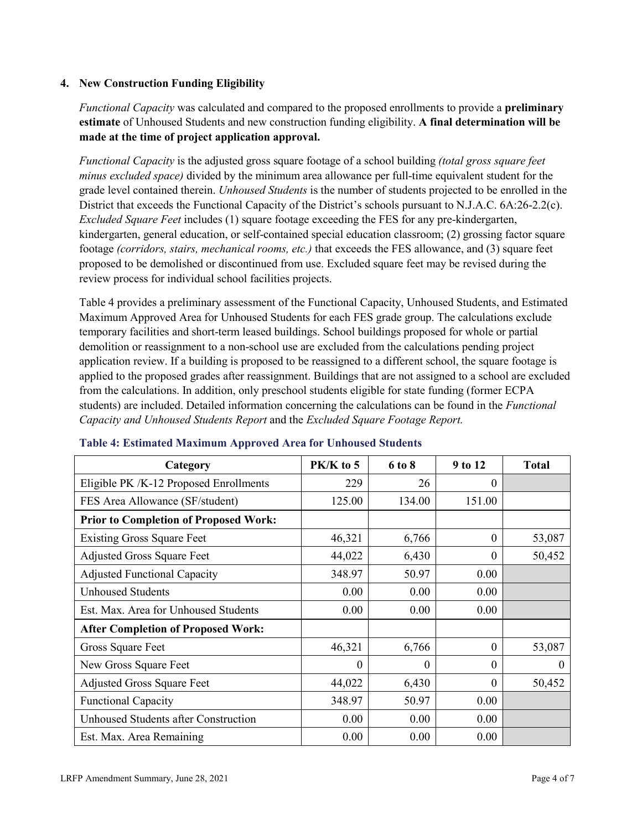# **4. New Construction Funding Eligibility**

*Functional Capacity* was calculated and compared to the proposed enrollments to provide a **preliminary estimate** of Unhoused Students and new construction funding eligibility. **A final determination will be made at the time of project application approval.**

*Functional Capacity* is the adjusted gross square footage of a school building *(total gross square feet minus excluded space)* divided by the minimum area allowance per full-time equivalent student for the grade level contained therein. *Unhoused Students* is the number of students projected to be enrolled in the District that exceeds the Functional Capacity of the District's schools pursuant to N.J.A.C. 6A:26-2.2(c). *Excluded Square Feet* includes (1) square footage exceeding the FES for any pre-kindergarten, kindergarten, general education, or self-contained special education classroom; (2) grossing factor square footage *(corridors, stairs, mechanical rooms, etc.)* that exceeds the FES allowance, and (3) square feet proposed to be demolished or discontinued from use. Excluded square feet may be revised during the review process for individual school facilities projects.

Table 4 provides a preliminary assessment of the Functional Capacity, Unhoused Students, and Estimated Maximum Approved Area for Unhoused Students for each FES grade group. The calculations exclude temporary facilities and short-term leased buildings. School buildings proposed for whole or partial demolition or reassignment to a non-school use are excluded from the calculations pending project application review. If a building is proposed to be reassigned to a different school, the square footage is applied to the proposed grades after reassignment. Buildings that are not assigned to a school are excluded from the calculations. In addition, only preschool students eligible for state funding (former ECPA students) are included. Detailed information concerning the calculations can be found in the *Functional Capacity and Unhoused Students Report* and the *Excluded Square Footage Report.*

| Category                                     | $PK/K$ to 5 | 6 to 8   | 9 to 12  | <b>Total</b> |
|----------------------------------------------|-------------|----------|----------|--------------|
| Eligible PK /K-12 Proposed Enrollments       | 229         | 26       | 0        |              |
| FES Area Allowance (SF/student)              | 125.00      | 134.00   | 151.00   |              |
| <b>Prior to Completion of Proposed Work:</b> |             |          |          |              |
| <b>Existing Gross Square Feet</b>            | 46,321      | 6,766    | $\theta$ | 53,087       |
| <b>Adjusted Gross Square Feet</b>            | 44,022      | 6,430    | $\theta$ | 50,452       |
| <b>Adjusted Functional Capacity</b>          | 348.97      | 50.97    | 0.00     |              |
| <b>Unhoused Students</b>                     | 0.00        | 0.00     | 0.00     |              |
| Est. Max. Area for Unhoused Students         | 0.00        | 0.00     | 0.00     |              |
| <b>After Completion of Proposed Work:</b>    |             |          |          |              |
| Gross Square Feet                            | 46,321      | 6,766    | $\theta$ | 53,087       |
| New Gross Square Feet                        | $\theta$    | $\theta$ | $\theta$ | $\theta$     |
| <b>Adjusted Gross Square Feet</b>            | 44,022      | 6,430    | $\Omega$ | 50,452       |
| <b>Functional Capacity</b>                   | 348.97      | 50.97    | 0.00     |              |
| <b>Unhoused Students after Construction</b>  | 0.00        | 0.00     | 0.00     |              |
| Est. Max. Area Remaining                     | 0.00        | 0.00     | 0.00     |              |

#### **Table 4: Estimated Maximum Approved Area for Unhoused Students**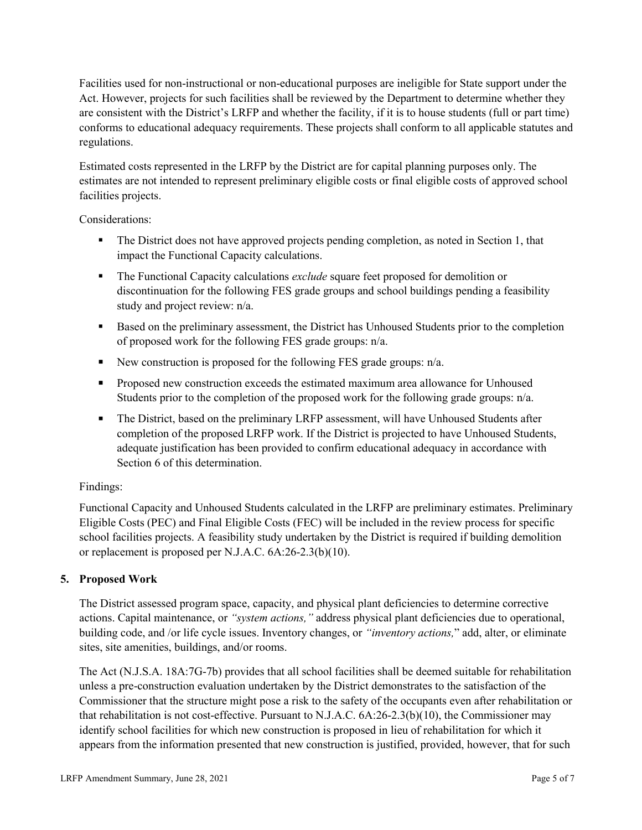Facilities used for non-instructional or non-educational purposes are ineligible for State support under the Act. However, projects for such facilities shall be reviewed by the Department to determine whether they are consistent with the District's LRFP and whether the facility, if it is to house students (full or part time) conforms to educational adequacy requirements. These projects shall conform to all applicable statutes and regulations.

Estimated costs represented in the LRFP by the District are for capital planning purposes only. The estimates are not intended to represent preliminary eligible costs or final eligible costs of approved school facilities projects.

Considerations:

- The District does not have approved projects pending completion, as noted in Section 1, that impact the Functional Capacity calculations.
- **The Functional Capacity calculations** *exclude* square feet proposed for demolition or discontinuation for the following FES grade groups and school buildings pending a feasibility study and project review: n/a.
- Based on the preliminary assessment, the District has Unhoused Students prior to the completion of proposed work for the following FES grade groups: n/a.
- New construction is proposed for the following FES grade groups: n/a.
- Proposed new construction exceeds the estimated maximum area allowance for Unhoused Students prior to the completion of the proposed work for the following grade groups: n/a.
- The District, based on the preliminary LRFP assessment, will have Unhoused Students after completion of the proposed LRFP work. If the District is projected to have Unhoused Students, adequate justification has been provided to confirm educational adequacy in accordance with Section 6 of this determination.

# Findings:

Functional Capacity and Unhoused Students calculated in the LRFP are preliminary estimates. Preliminary Eligible Costs (PEC) and Final Eligible Costs (FEC) will be included in the review process for specific school facilities projects. A feasibility study undertaken by the District is required if building demolition or replacement is proposed per N.J.A.C. 6A:26-2.3(b)(10).

# **5. Proposed Work**

The District assessed program space, capacity, and physical plant deficiencies to determine corrective actions. Capital maintenance, or *"system actions,"* address physical plant deficiencies due to operational, building code, and /or life cycle issues. Inventory changes, or *"inventory actions,*" add, alter, or eliminate sites, site amenities, buildings, and/or rooms.

The Act (N.J.S.A. 18A:7G-7b) provides that all school facilities shall be deemed suitable for rehabilitation unless a pre-construction evaluation undertaken by the District demonstrates to the satisfaction of the Commissioner that the structure might pose a risk to the safety of the occupants even after rehabilitation or that rehabilitation is not cost-effective. Pursuant to N.J.A.C. 6A:26-2.3(b)(10), the Commissioner may identify school facilities for which new construction is proposed in lieu of rehabilitation for which it appears from the information presented that new construction is justified, provided, however, that for such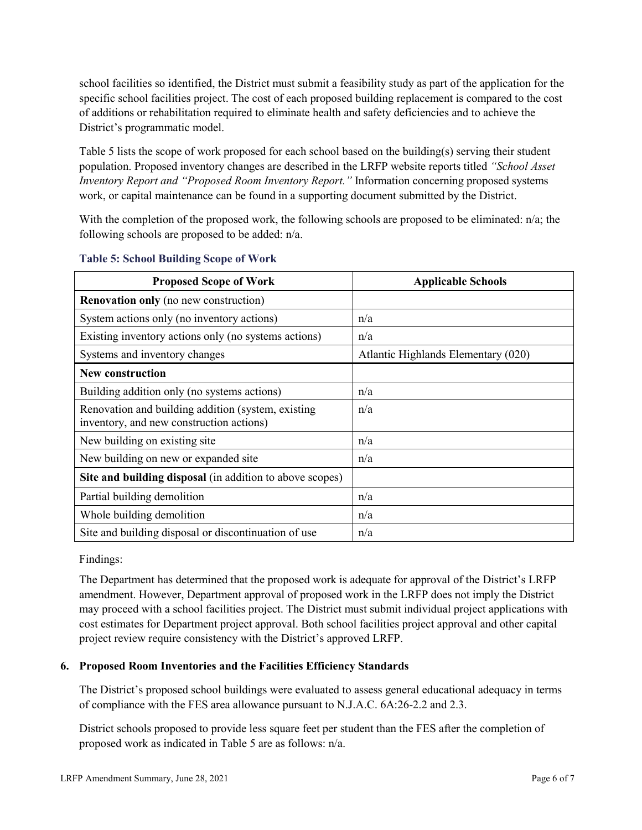school facilities so identified, the District must submit a feasibility study as part of the application for the specific school facilities project. The cost of each proposed building replacement is compared to the cost of additions or rehabilitation required to eliminate health and safety deficiencies and to achieve the District's programmatic model.

Table 5 lists the scope of work proposed for each school based on the building(s) serving their student population. Proposed inventory changes are described in the LRFP website reports titled *"School Asset Inventory Report and "Proposed Room Inventory Report."* Information concerning proposed systems work, or capital maintenance can be found in a supporting document submitted by the District.

With the completion of the proposed work, the following schools are proposed to be eliminated:  $n/a$ ; the following schools are proposed to be added: n/a.

| <b>Proposed Scope of Work</b>                                                                  | <b>Applicable Schools</b>           |
|------------------------------------------------------------------------------------------------|-------------------------------------|
| <b>Renovation only</b> (no new construction)                                                   |                                     |
| System actions only (no inventory actions)                                                     | n/a                                 |
| Existing inventory actions only (no systems actions)                                           | n/a                                 |
| Systems and inventory changes                                                                  | Atlantic Highlands Elementary (020) |
| New construction                                                                               |                                     |
| Building addition only (no systems actions)                                                    | n/a                                 |
| Renovation and building addition (system, existing<br>inventory, and new construction actions) | n/a                                 |
| New building on existing site                                                                  | n/a                                 |
| New building on new or expanded site                                                           | n/a                                 |
| Site and building disposal (in addition to above scopes)                                       |                                     |
| Partial building demolition                                                                    | n/a                                 |
| Whole building demolition                                                                      | n/a                                 |
| Site and building disposal or discontinuation of use                                           | n/a                                 |

#### **Table 5: School Building Scope of Work**

Findings:

The Department has determined that the proposed work is adequate for approval of the District's LRFP amendment. However, Department approval of proposed work in the LRFP does not imply the District may proceed with a school facilities project. The District must submit individual project applications with cost estimates for Department project approval. Both school facilities project approval and other capital project review require consistency with the District's approved LRFP.

# **6. Proposed Room Inventories and the Facilities Efficiency Standards**

The District's proposed school buildings were evaluated to assess general educational adequacy in terms of compliance with the FES area allowance pursuant to N.J.A.C. 6A:26-2.2 and 2.3.

District schools proposed to provide less square feet per student than the FES after the completion of proposed work as indicated in Table 5 are as follows: n/a.